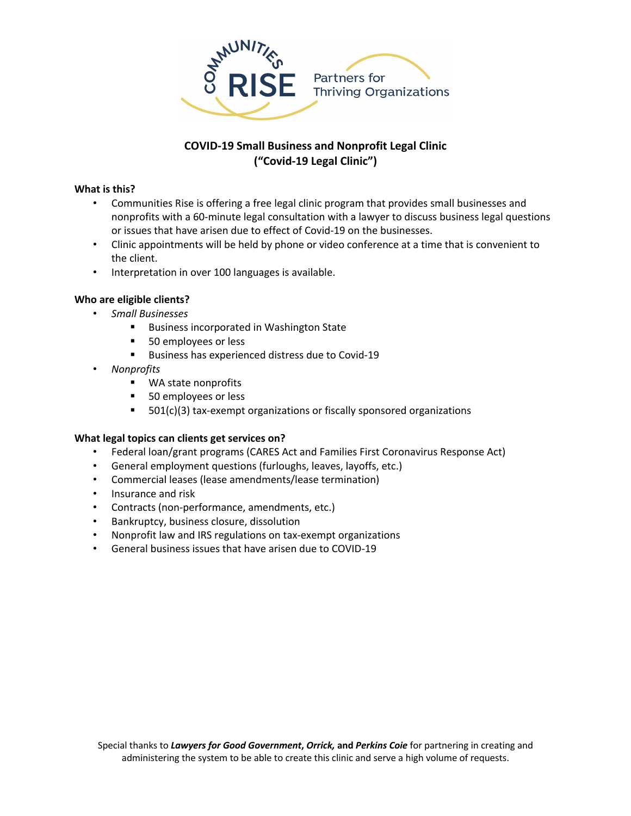

# **COVID-19 Small Business and Nonprofit Legal Clinic ("Covid-19 Legal Clinic")**

# **What is this?**

- Communities Rise is offering a free legal clinic program that provides small businesses and nonprofits with a 60-minute legal consultation with a lawyer to discuss business legal questions or issues that have arisen due to effect of Covid-19 on the businesses.
- Clinic appointments will be held by phone or video conference at a time that is convenient to the client.
- Interpretation in over 100 languages is available.

### **Who are eligible clients?**

- *Small Businesses* 
	- Business incorporated in Washington State
	- 50 employees or less
	- Business has experienced distress due to Covid-19
- *Nonprofits* 
	- WA state nonprofits
	- 50 employees or less
	- 501(c)(3) tax-exempt organizations or fiscally sponsored organizations

#### **What legal topics can clients get services on?**

- Federal loan/grant programs (CARES Act and Families First Coronavirus Response Act)
- General employment questions (furloughs, leaves, layoffs, etc.)
- Commercial leases (lease amendments/lease termination)
- Insurance and risk
- Contracts (non-performance, amendments, etc.)
- Bankruptcy, business closure, dissolution
- Nonprofit law and IRS regulations on tax-exempt organizations
- General business issues that have arisen due to COVID-19